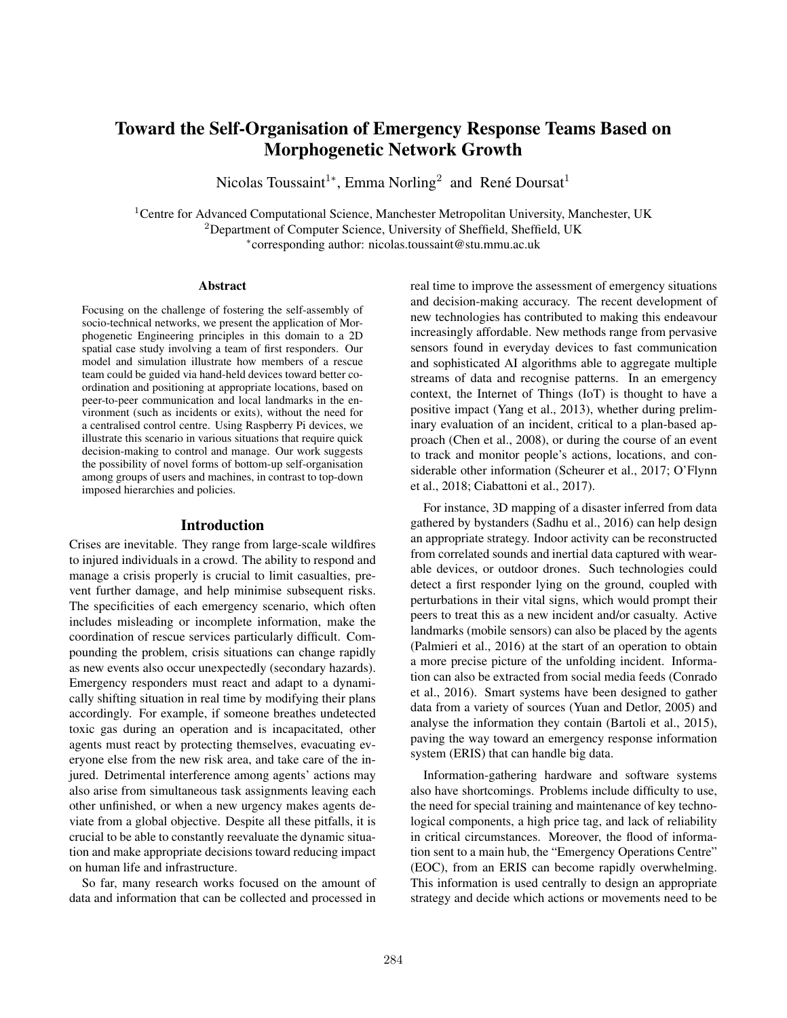# Toward the Self-Organisation of Emergency Response Teams Based on Morphogenetic Network Growth

Nicolas Toussaint<sup>1</sup>\*, Emma Norling<sup>2</sup> and René Doursat<sup>1</sup>

<sup>1</sup> Centre for Advanced Computational Science, Manchester Metropolitan University, Manchester, UK <sup>2</sup>Department of Computer Science, University of Sheffield, Sheffield, UK

∗ corresponding author: nicolas.toussaint@stu.mmu.ac.uk

#### Abstract

Focusing on the challenge of fostering the self-assembly of socio-technical networks, we present the application of Morphogenetic Engineering principles in this domain to a 2D spatial case study involving a team of first responders. Our model and simulation illustrate how members of a rescue team could be guided via hand-held devices toward better coordination and positioning at appropriate locations, based on peer-to-peer communication and local landmarks in the environment (such as incidents or exits), without the need for a centralised control centre. Using Raspberry Pi devices, we illustrate this scenario in various situations that require quick decision-making to control and manage. Our work suggests the possibility of novel forms of bottom-up self-organisation among groups of users and machines, in contrast to top-down imposed hierarchies and policies.

#### Introduction

Crises are inevitable. They range from large-scale wildfires to injured individuals in a crowd. The ability to respond and manage a crisis properly is crucial to limit casualties, prevent further damage, and help minimise subsequent risks. The specificities of each emergency scenario, which often includes misleading or incomplete information, make the coordination of rescue services particularly difficult. Compounding the problem, crisis situations can change rapidly as new events also occur unexpectedly (secondary hazards). Emergency responders must react and adapt to a dynamically shifting situation in real time by modifying their plans accordingly. For example, if someone breathes undetected toxic gas during an operation and is incapacitated, other agents must react by protecting themselves, evacuating everyone else from the new risk area, and take care of the injured. Detrimental interference among agents' actions may also arise from simultaneous task assignments leaving each other unfinished, or when a new urgency makes agents deviate from a global objective. Despite all these pitfalls, it is crucial to be able to constantly reevaluate the dynamic situation and make appropriate decisions toward reducing impact on human life and infrastructure.

So far, many research works focused on the amount of data and information that can be collected and processed in real time to improve the assessment of emergency situations and decision-making accuracy. The recent development of new technologies has contributed to making this endeavour increasingly affordable. New methods range from pervasive sensors found in everyday devices to fast communication and sophisticated AI algorithms able to aggregate multiple streams of data and recognise patterns. In an emergency context, the Internet of Things (IoT) is thought to have a positive impact (Yang et al., 2013), whether during preliminary evaluation of an incident, critical to a plan-based approach (Chen et al., 2008), or during the course of an event to track and monitor people's actions, locations, and considerable other information (Scheurer et al., 2017; O'Flynn et al., 2018; Ciabattoni et al., 2017).

For instance, 3D mapping of a disaster inferred from data gathered by bystanders (Sadhu et al., 2016) can help design an appropriate strategy. Indoor activity can be reconstructed from correlated sounds and inertial data captured with wearable devices, or outdoor drones. Such technologies could detect a first responder lying on the ground, coupled with perturbations in their vital signs, which would prompt their peers to treat this as a new incident and/or casualty. Active landmarks (mobile sensors) can also be placed by the agents (Palmieri et al., 2016) at the start of an operation to obtain a more precise picture of the unfolding incident. Information can also be extracted from social media feeds (Conrado et al., 2016). Smart systems have been designed to gather data from a variety of sources (Yuan and Detlor, 2005) and analyse the information they contain (Bartoli et al., 2015), paving the way toward an emergency response information system (ERIS) that can handle big data.

Information-gathering hardware and software systems also have shortcomings. Problems include difficulty to use, the need for special training and maintenance of key technological components, a high price tag, and lack of reliability in critical circumstances. Moreover, the flood of information sent to a main hub, the "Emergency Operations Centre" (EOC), from an ERIS can become rapidly overwhelming. This information is used centrally to design an appropriate strategy and decide which actions or movements need to be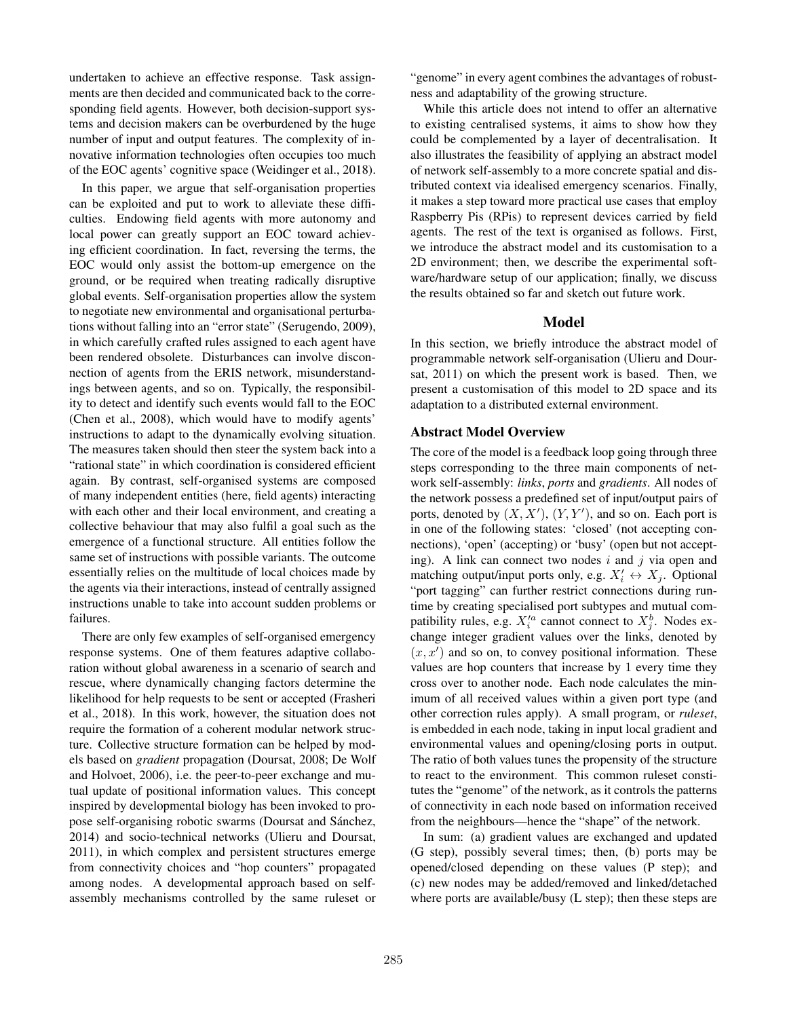undertaken to achieve an effective response. Task assignments are then decided and communicated back to the corresponding field agents. However, both decision-support systems and decision makers can be overburdened by the huge number of input and output features. The complexity of innovative information technologies often occupies too much of the EOC agents' cognitive space (Weidinger et al., 2018).

In this paper, we argue that self-organisation properties can be exploited and put to work to alleviate these difficulties. Endowing field agents with more autonomy and local power can greatly support an EOC toward achieving efficient coordination. In fact, reversing the terms, the EOC would only assist the bottom-up emergence on the ground, or be required when treating radically disruptive global events. Self-organisation properties allow the system to negotiate new environmental and organisational perturbations without falling into an "error state" (Serugendo, 2009), in which carefully crafted rules assigned to each agent have been rendered obsolete. Disturbances can involve disconnection of agents from the ERIS network, misunderstandings between agents, and so on. Typically, the responsibility to detect and identify such events would fall to the EOC (Chen et al., 2008), which would have to modify agents' instructions to adapt to the dynamically evolving situation. The measures taken should then steer the system back into a "rational state" in which coordination is considered efficient again. By contrast, self-organised systems are composed of many independent entities (here, field agents) interacting with each other and their local environment, and creating a collective behaviour that may also fulfil a goal such as the emergence of a functional structure. All entities follow the same set of instructions with possible variants. The outcome essentially relies on the multitude of local choices made by the agents via their interactions, instead of centrally assigned instructions unable to take into account sudden problems or failures.

There are only few examples of self-organised emergency response systems. One of them features adaptive collaboration without global awareness in a scenario of search and rescue, where dynamically changing factors determine the likelihood for help requests to be sent or accepted (Frasheri et al., 2018). In this work, however, the situation does not require the formation of a coherent modular network structure. Collective structure formation can be helped by models based on *gradient* propagation (Doursat, 2008; De Wolf and Holvoet, 2006), i.e. the peer-to-peer exchange and mutual update of positional information values. This concept inspired by developmental biology has been invoked to propose self-organising robotic swarms (Doursat and Sánchez, 2014) and socio-technical networks (Ulieru and Doursat, 2011), in which complex and persistent structures emerge from connectivity choices and "hop counters" propagated among nodes. A developmental approach based on selfassembly mechanisms controlled by the same ruleset or

"genome" in every agent combines the advantages of robustness and adaptability of the growing structure.

While this article does not intend to offer an alternative to existing centralised systems, it aims to show how they could be complemented by a layer of decentralisation. It also illustrates the feasibility of applying an abstract model of network self-assembly to a more concrete spatial and distributed context via idealised emergency scenarios. Finally, it makes a step toward more practical use cases that employ Raspberry Pis (RPis) to represent devices carried by field agents. The rest of the text is organised as follows. First, we introduce the abstract model and its customisation to a 2D environment; then, we describe the experimental software/hardware setup of our application; finally, we discuss the results obtained so far and sketch out future work.

### Model

In this section, we briefly introduce the abstract model of programmable network self-organisation (Ulieru and Doursat, 2011) on which the present work is based. Then, we present a customisation of this model to 2D space and its adaptation to a distributed external environment.

# Abstract Model Overview

The core of the model is a feedback loop going through three steps corresponding to the three main components of network self-assembly: *links*, *ports* and *gradients*. All nodes of the network possess a predefined set of input/output pairs of ports, denoted by  $(X, X')$ ,  $(Y, Y')$ , and so on. Each port is in one of the following states: 'closed' (not accepting connections), 'open' (accepting) or 'busy' (open but not accepting). A link can connect two nodes  $i$  and  $j$  via open and matching output/input ports only, e.g.  $X'_i \leftrightarrow X_j$ . Optional "port tagging" can further restrict connections during runtime by creating specialised port subtypes and mutual compatibility rules, e.g.  $X_i^{\prime a}$  cannot connect to  $X_j^b$ . Nodes exchange integer gradient values over the links, denoted by  $(x, x')$  and so on, to convey positional information. These values are hop counters that increase by 1 every time they cross over to another node. Each node calculates the minimum of all received values within a given port type (and other correction rules apply). A small program, or *ruleset*, is embedded in each node, taking in input local gradient and environmental values and opening/closing ports in output. The ratio of both values tunes the propensity of the structure to react to the environment. This common ruleset constitutes the "genome" of the network, as it controls the patterns of connectivity in each node based on information received from the neighbours—hence the "shape" of the network.

In sum: (a) gradient values are exchanged and updated (G step), possibly several times; then, (b) ports may be opened/closed depending on these values (P step); and (c) new nodes may be added/removed and linked/detached where ports are available/busy (L step); then these steps are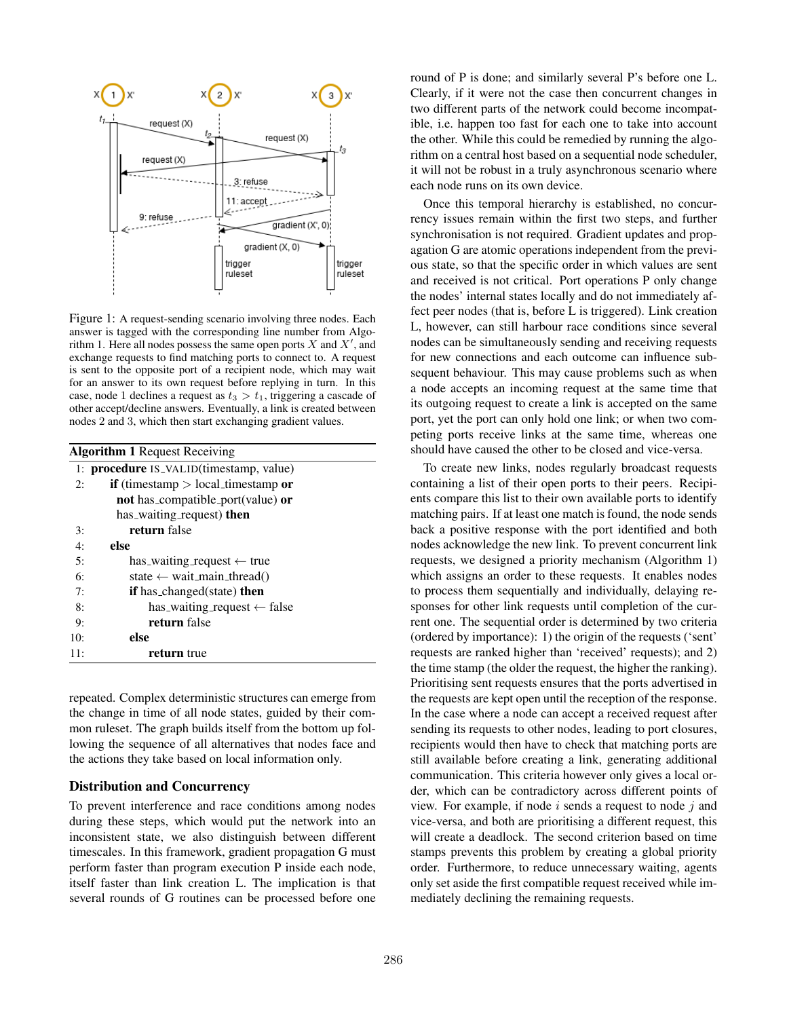

Figure 1: A request-sending scenario involving three nodes. Each answer is tagged with the corresponding line number from Algorithm 1. Here all nodes possess the same open ports X and  $X'$ , and exchange requests to find matching ports to connect to. A request is sent to the opposite port of a recipient node, which may wait for an answer to its own request before replying in turn. In this case, node 1 declines a request as  $t_3 > t_1$ , triggering a cascade of other accept/decline answers. Eventually, a link is created between nodes 2 and 3, which then start exchanging gradient values.

| <b>Algorithm 1 Request Receiving</b> |                                                |
|--------------------------------------|------------------------------------------------|
|                                      | 1: <b>procedure</b> IS_VALID(timestamp, value) |
| 2:                                   | <b>if</b> (timestamp $>$ local timestamp or    |
|                                      | <b>not</b> has_compatible_port(value) or       |
|                                      | has_waiting_request) then                      |
| 3:                                   | return false                                   |
| 4:                                   | else                                           |
| 5:                                   | has_waiting_request $\leftarrow$ true          |
| 6:                                   | state $\leftarrow$ wait_main_thread()          |
| 7:                                   | <b>if</b> has_changed(state) <b>then</b>       |
| 8:                                   | has_waiting_request $\leftarrow$ false         |
| 9:                                   | return false                                   |
| 10:                                  | else                                           |
| 11:                                  | return true                                    |
|                                      |                                                |

repeated. Complex deterministic structures can emerge from the change in time of all node states, guided by their common ruleset. The graph builds itself from the bottom up following the sequence of all alternatives that nodes face and the actions they take based on local information only.

### Distribution and Concurrency

To prevent interference and race conditions among nodes during these steps, which would put the network into an inconsistent state, we also distinguish between different timescales. In this framework, gradient propagation G must perform faster than program execution P inside each node, itself faster than link creation L. The implication is that several rounds of G routines can be processed before one

round of P is done; and similarly several P's before one L. Clearly, if it were not the case then concurrent changes in two different parts of the network could become incompatible, i.e. happen too fast for each one to take into account the other. While this could be remedied by running the algorithm on a central host based on a sequential node scheduler, it will not be robust in a truly asynchronous scenario where each node runs on its own device.

Once this temporal hierarchy is established, no concurrency issues remain within the first two steps, and further synchronisation is not required. Gradient updates and propagation G are atomic operations independent from the previous state, so that the specific order in which values are sent and received is not critical. Port operations P only change the nodes' internal states locally and do not immediately affect peer nodes (that is, before L is triggered). Link creation L, however, can still harbour race conditions since several nodes can be simultaneously sending and receiving requests for new connections and each outcome can influence subsequent behaviour. This may cause problems such as when a node accepts an incoming request at the same time that its outgoing request to create a link is accepted on the same port, yet the port can only hold one link; or when two competing ports receive links at the same time, whereas one should have caused the other to be closed and vice-versa.

To create new links, nodes regularly broadcast requests containing a list of their open ports to their peers. Recipients compare this list to their own available ports to identify matching pairs. If at least one match is found, the node sends back a positive response with the port identified and both nodes acknowledge the new link. To prevent concurrent link requests, we designed a priority mechanism (Algorithm 1) which assigns an order to these requests. It enables nodes to process them sequentially and individually, delaying responses for other link requests until completion of the current one. The sequential order is determined by two criteria (ordered by importance): 1) the origin of the requests ('sent' requests are ranked higher than 'received' requests); and 2) the time stamp (the older the request, the higher the ranking). Prioritising sent requests ensures that the ports advertised in the requests are kept open until the reception of the response. In the case where a node can accept a received request after sending its requests to other nodes, leading to port closures, recipients would then have to check that matching ports are still available before creating a link, generating additional communication. This criteria however only gives a local order, which can be contradictory across different points of view. For example, if node  $i$  sends a request to node  $j$  and vice-versa, and both are prioritising a different request, this will create a deadlock. The second criterion based on time stamps prevents this problem by creating a global priority order. Furthermore, to reduce unnecessary waiting, agents only set aside the first compatible request received while immediately declining the remaining requests.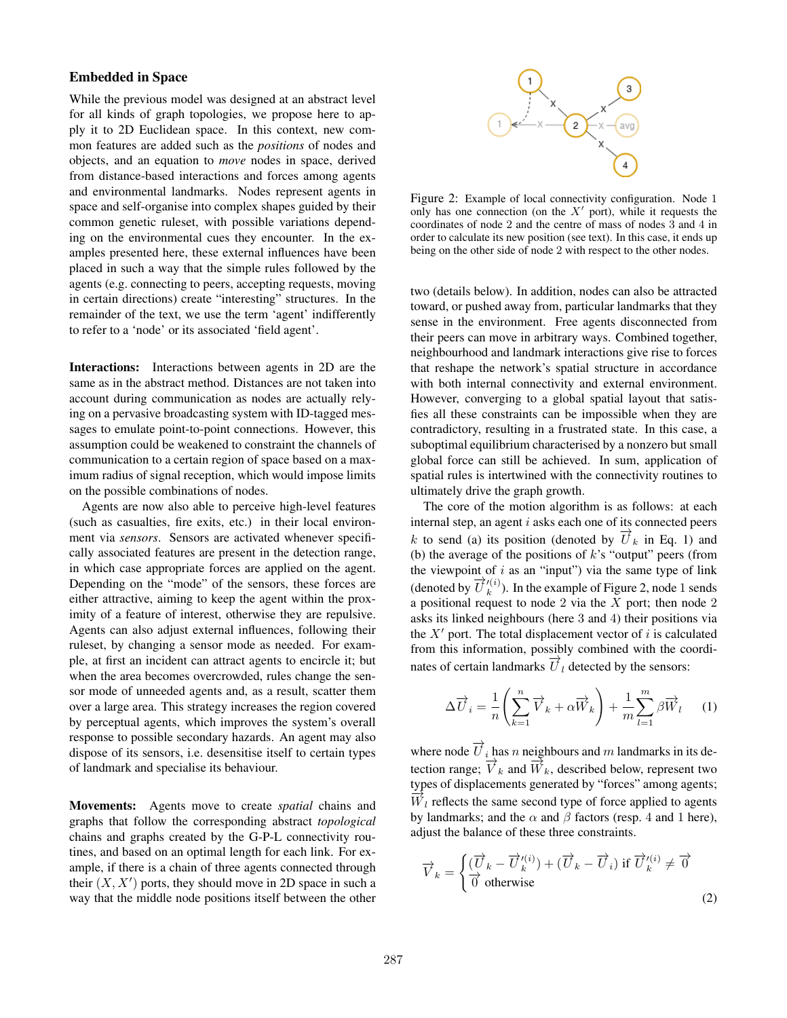## Embedded in Space

While the previous model was designed at an abstract level for all kinds of graph topologies, we propose here to apply it to 2D Euclidean space. In this context, new common features are added such as the *positions* of nodes and objects, and an equation to *move* nodes in space, derived from distance-based interactions and forces among agents and environmental landmarks. Nodes represent agents in space and self-organise into complex shapes guided by their common genetic ruleset, with possible variations depending on the environmental cues they encounter. In the examples presented here, these external influences have been placed in such a way that the simple rules followed by the agents (e.g. connecting to peers, accepting requests, moving in certain directions) create "interesting" structures. In the remainder of the text, we use the term 'agent' indifferently to refer to a 'node' or its associated 'field agent'.

Interactions: Interactions between agents in 2D are the same as in the abstract method. Distances are not taken into account during communication as nodes are actually relying on a pervasive broadcasting system with ID-tagged messages to emulate point-to-point connections. However, this assumption could be weakened to constraint the channels of communication to a certain region of space based on a maximum radius of signal reception, which would impose limits on the possible combinations of nodes.

Agents are now also able to perceive high-level features (such as casualties, fire exits, etc.) in their local environment via *sensors*. Sensors are activated whenever specifically associated features are present in the detection range, in which case appropriate forces are applied on the agent. Depending on the "mode" of the sensors, these forces are either attractive, aiming to keep the agent within the proximity of a feature of interest, otherwise they are repulsive. Agents can also adjust external influences, following their ruleset, by changing a sensor mode as needed. For example, at first an incident can attract agents to encircle it; but when the area becomes overcrowded, rules change the sensor mode of unneeded agents and, as a result, scatter them over a large area. This strategy increases the region covered by perceptual agents, which improves the system's overall response to possible secondary hazards. An agent may also dispose of its sensors, i.e. desensitise itself to certain types of landmark and specialise its behaviour.

Movements: Agents move to create *spatial* chains and graphs that follow the corresponding abstract *topological* chains and graphs created by the G-P-L connectivity routines, and based on an optimal length for each link. For example, if there is a chain of three agents connected through their  $(X, X')$  ports, they should move in 2D space in such a way that the middle node positions itself between the other



Figure 2: Example of local connectivity configuration. Node 1 only has one connection (on the  $X'$  port), while it requests the coordinates of node 2 and the centre of mass of nodes 3 and 4 in order to calculate its new position (see text). In this case, it ends up being on the other side of node 2 with respect to the other nodes.

two (details below). In addition, nodes can also be attracted toward, or pushed away from, particular landmarks that they sense in the environment. Free agents disconnected from their peers can move in arbitrary ways. Combined together, neighbourhood and landmark interactions give rise to forces that reshape the network's spatial structure in accordance with both internal connectivity and external environment. However, converging to a global spatial layout that satisfies all these constraints can be impossible when they are contradictory, resulting in a frustrated state. In this case, a suboptimal equilibrium characterised by a nonzero but small global force can still be achieved. In sum, application of spatial rules is intertwined with the connectivity routines to ultimately drive the graph growth.

The core of the motion algorithm is as follows: at each internal step, an agent  $i$  asks each one of its connected peers k to send (a) its position (denoted by  $\overrightarrow{U}_k$  in Eq. 1) and (b) the average of the positions of  $k$ 's "output" peers (from the viewpoint of  $i$  as an "input") via the same type of link (denoted by  $\overrightarrow{U}_{k}^{\prime(i)}$ ). In the example of Figure 2, node 1 sends a positional request to node 2 via the  $X$  port; then node 2 asks its linked neighbours (here 3 and 4) their positions via the  $X'$  port. The total displacement vector of i is calculated from this information, possibly combined with the coordinates of certain landmarks  $\overrightarrow{U}_l$  detected by the sensors:

$$
\Delta \overrightarrow{U}_i = \frac{1}{n} \left( \sum_{k=1}^n \overrightarrow{V}_k + \alpha \overrightarrow{W}_k \right) + \frac{1}{m} \sum_{l=1}^m \beta \overrightarrow{W}_l \qquad (1)
$$

where node  $\overrightarrow{U}_i$  has n neighbours and m landmarks in its detection range;  $\overrightarrow{V}_k$  and  $\overrightarrow{W}_k$ , described below, represent two types of displacements generated by "forces" among agents;  $\overline{W}_l$  reflects the same second type of force applied to agents by landmarks; and the  $\alpha$  and  $\beta$  factors (resp. 4 and 1 here), adjust the balance of these three constraints.

$$
\overrightarrow{V}_k = \begin{cases}\n(\overrightarrow{U}_k - \overrightarrow{U}_k^{(i)}) + (\overrightarrow{U}_k - \overrightarrow{U}_i) & \text{if } \overrightarrow{U}_k^{(i)} \neq \overrightarrow{0} \\
\overrightarrow{0} & \text{otherwise}\n\end{cases}
$$
\n(2)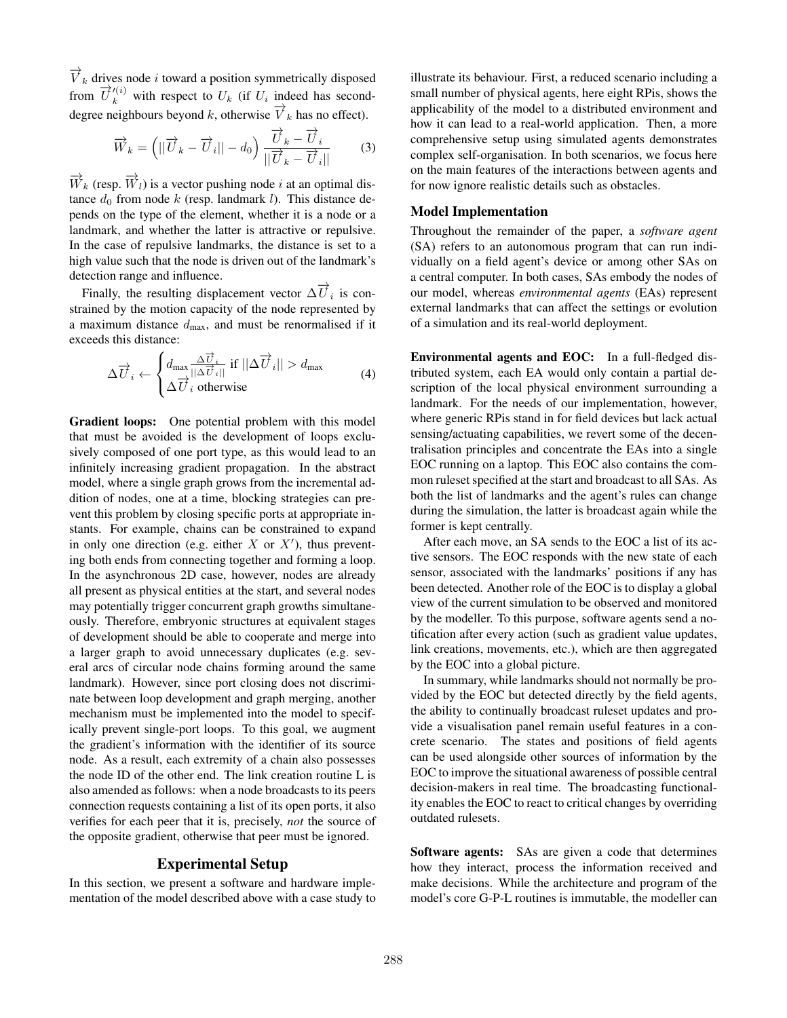$\overrightarrow{V}_k$  drives node *i* toward a position symmetrically disposed from  $\overrightarrow{U}_k^{\prime(i)}$  with respect to  $U_k$  (if  $U_i$  indeed has seconddegree neighbours beyond k, otherwise  $\overrightarrow{V}_k$  has no effect).

$$
\overrightarrow{W}_k = \left( \left| |\overrightarrow{U}_k - \overrightarrow{U}_i| \right| - d_0 \right) \frac{\overrightarrow{U}_k - \overrightarrow{U}_i}{\left| |\overrightarrow{U}_k - \overrightarrow{U}_i| \right|} \qquad (3)
$$

 $\overrightarrow{W}_k$  (resp.  $\overrightarrow{W}_l$ ) is a vector pushing node i at an optimal distance  $d_0$  from node k (resp. landmark l). This distance depends on the type of the element, whether it is a node or a landmark, and whether the latter is attractive or repulsive. In the case of repulsive landmarks, the distance is set to a high value such that the node is driven out of the landmark's detection range and influence.

Finally, the resulting displacement vector  $\Delta \overrightarrow{U}_i$  is constrained by the motion capacity of the node represented by a maximum distance  $d_{\text{max}}$ , and must be renormalised if it exceeds this distance:

$$
\Delta \overrightarrow{U}_{i} \leftarrow \begin{cases} d_{\text{max}} \frac{\Delta \overrightarrow{U}_{i}}{||\Delta \overrightarrow{U}_{i}||} \text{ if } ||\Delta \overrightarrow{U}_{i}|| > d_{\text{max}} \\ \Delta \overrightarrow{U}_{i} \text{ otherwise} \end{cases} \tag{4}
$$

Gradient loops: One potential problem with this model that must be avoided is the development of loops exclusively composed of one port type, as this would lead to an infinitely increasing gradient propagation. In the abstract model, where a single graph grows from the incremental addition of nodes, one at a time, blocking strategies can prevent this problem by closing specific ports at appropriate instants. For example, chains can be constrained to expand in only one direction (e.g. either  $X$  or  $X'$ ), thus preventing both ends from connecting together and forming a loop. In the asynchronous 2D case, however, nodes are already all present as physical entities at the start, and several nodes may potentially trigger concurrent graph growths simultaneously. Therefore, embryonic structures at equivalent stages of development should be able to cooperate and merge into a larger graph to avoid unnecessary duplicates (e.g. several arcs of circular node chains forming around the same landmark). However, since port closing does not discriminate between loop development and graph merging, another mechanism must be implemented into the model to specifically prevent single-port loops. To this goal, we augment the gradient's information with the identifier of its source node. As a result, each extremity of a chain also possesses the node ID of the other end. The link creation routine L is also amended as follows: when a node broadcasts to its peers connection requests containing a list of its open ports, it also verifies for each peer that it is, precisely, *not* the source of the opposite gradient, otherwise that peer must be ignored.

#### Experimental Setup

In this section, we present a software and hardware implementation of the model described above with a case study to illustrate its behaviour. First, a reduced scenario including a small number of physical agents, here eight RPis, shows the applicability of the model to a distributed environment and how it can lead to a real-world application. Then, a more comprehensive setup using simulated agents demonstrates complex self-organisation. In both scenarios, we focus here on the main features of the interactions between agents and for now ignore realistic details such as obstacles.

### Model Implementation

Throughout the remainder of the paper, a *software agent* (SA) refers to an autonomous program that can run individually on a field agent's device or among other SAs on a central computer. In both cases, SAs embody the nodes of our model, whereas *environmental agents* (EAs) represent external landmarks that can affect the settings or evolution of a simulation and its real-world deployment.

Environmental agents and EOC: In a full-fledged distributed system, each EA would only contain a partial description of the local physical environment surrounding a landmark. For the needs of our implementation, however, where generic RPis stand in for field devices but lack actual sensing/actuating capabilities, we revert some of the decentralisation principles and concentrate the EAs into a single EOC running on a laptop. This EOC also contains the common ruleset specified at the start and broadcast to all SAs. As both the list of landmarks and the agent's rules can change during the simulation, the latter is broadcast again while the former is kept centrally.

After each move, an SA sends to the EOC a list of its active sensors. The EOC responds with the new state of each sensor, associated with the landmarks' positions if any has been detected. Another role of the EOC is to display a global view of the current simulation to be observed and monitored by the modeller. To this purpose, software agents send a notification after every action (such as gradient value updates, link creations, movements, etc.), which are then aggregated by the EOC into a global picture.

In summary, while landmarks should not normally be provided by the EOC but detected directly by the field agents, the ability to continually broadcast ruleset updates and provide a visualisation panel remain useful features in a concrete scenario. The states and positions of field agents can be used alongside other sources of information by the EOC to improve the situational awareness of possible central decision-makers in real time. The broadcasting functionality enables the EOC to react to critical changes by overriding outdated rulesets.

Software agents: SAs are given a code that determines how they interact, process the information received and make decisions. While the architecture and program of the model's core G-P-L routines is immutable, the modeller can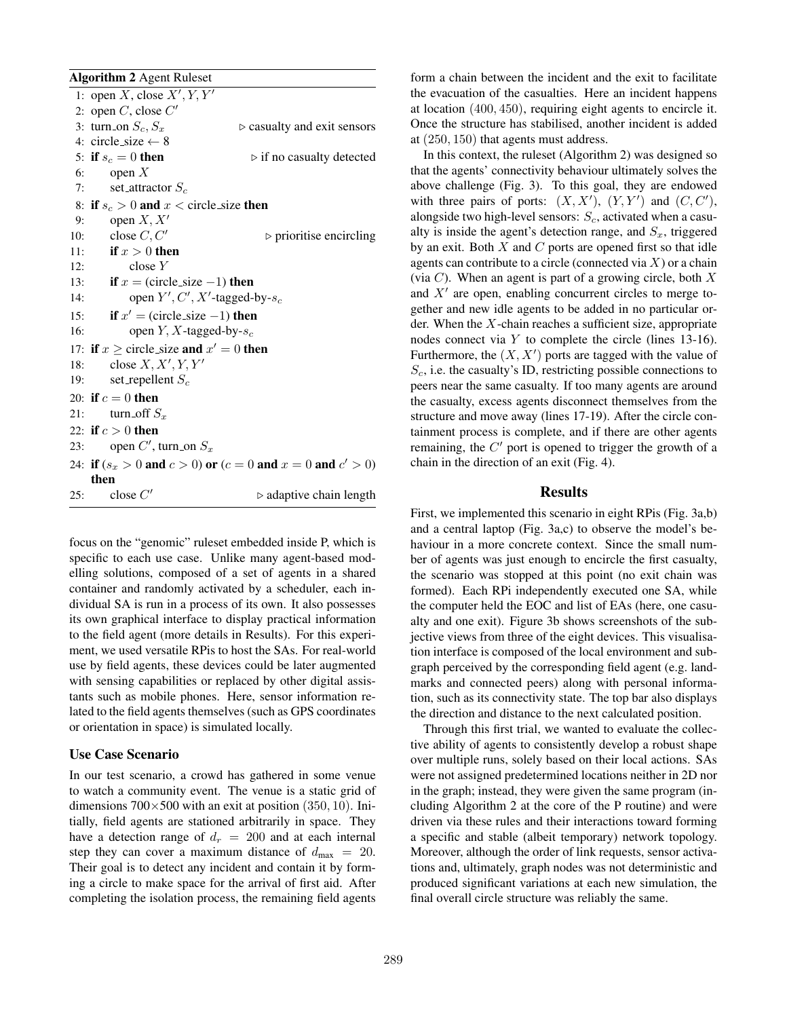Algorithm 2 Agent Ruleset 1: open X, close  $X', Y, Y'$ 2: open  $C$ , close  $C'$ 3: turn\_on  $S_c$ ,  $S_x$   $\triangleright$  casualty and exit sensors 4: circle\_size  $\leftarrow$  8<br>5: **if**  $s_c = 0$  **then**  $\triangleright$  if no casualty detected 6: open  $X$ 7: set\_attractor  $S_c$ 8: if  $s_c > 0$  and  $x <$  circle size then 9: open  $X, X'$ 10: close  $C, C'$  b prioritise encircling 11: if  $x > 0$  then 12: close Y 13: **if**  $x =$  (circle\_size -1) **then**<br>14: **open**  $Y', C', X'$ -tagged-14: open  $Y', C', X'$ -tagged-by- $s_c$ 15: **if**  $x' = (circle_size - 1)$  then 16: open  $Y, X$ -tagged-by- $s_c$ 17: if  $x \ge$  circle size and  $x' = 0$  then 18: close  $X, X', Y, Y'$ 19: set\_repellent  $S_c$ 20: if  $c = 0$  then 21: turn\_off  $S_x$ 22: if  $c > 0$  then 23: open  $C'$ , turn\_on  $S_x$ 24: if  $(s_x > 0$  and  $c > 0)$  or  $(c = 0$  and  $x = 0$  and  $c' > 0)$ then 25: close  $C'$  $\rhd$  adaptive chain length

focus on the "genomic" ruleset embedded inside P, which is specific to each use case. Unlike many agent-based modelling solutions, composed of a set of agents in a shared container and randomly activated by a scheduler, each individual SA is run in a process of its own. It also possesses its own graphical interface to display practical information to the field agent (more details in Results). For this experiment, we used versatile RPis to host the SAs. For real-world use by field agents, these devices could be later augmented with sensing capabilities or replaced by other digital assistants such as mobile phones. Here, sensor information related to the field agents themselves (such as GPS coordinates or orientation in space) is simulated locally.

#### Use Case Scenario

In our test scenario, a crowd has gathered in some venue to watch a community event. The venue is a static grid of dimensions  $700\times500$  with an exit at position  $(350, 10)$ . Initially, field agents are stationed arbitrarily in space. They have a detection range of  $d_r = 200$  and at each internal step they can cover a maximum distance of  $d_{\text{max}} = 20$ . Their goal is to detect any incident and contain it by forming a circle to make space for the arrival of first aid. After completing the isolation process, the remaining field agents form a chain between the incident and the exit to facilitate the evacuation of the casualties. Here an incident happens at location (400, 450), requiring eight agents to encircle it. Once the structure has stabilised, another incident is added at (250, 150) that agents must address.

In this context, the ruleset (Algorithm 2) was designed so that the agents' connectivity behaviour ultimately solves the above challenge (Fig. 3). To this goal, they are endowed with three pairs of ports:  $(X, X')$ ,  $(Y, Y')$  and  $(C, C')$ , alongside two high-level sensors:  $S_c$ , activated when a casualty is inside the agent's detection range, and  $S_x$ , triggered by an exit. Both  $X$  and  $C$  ports are opened first so that idle agents can contribute to a circle (connected via  $X$ ) or a chain (via  $C$ ). When an agent is part of a growing circle, both  $X$ and  $X'$  are open, enabling concurrent circles to merge together and new idle agents to be added in no particular order. When the  $X$ -chain reaches a sufficient size, appropriate nodes connect via Y to complete the circle (lines 13-16). Furthermore, the  $(X, X')$  ports are tagged with the value of  $S_c$ , i.e. the casualty's ID, restricting possible connections to peers near the same casualty. If too many agents are around the casualty, excess agents disconnect themselves from the structure and move away (lines 17-19). After the circle containment process is complete, and if there are other agents remaining, the  $C'$  port is opened to trigger the growth of a chain in the direction of an exit (Fig. 4).

### Results

First, we implemented this scenario in eight RPis (Fig. 3a,b) and a central laptop (Fig. 3a,c) to observe the model's behaviour in a more concrete context. Since the small number of agents was just enough to encircle the first casualty, the scenario was stopped at this point (no exit chain was formed). Each RPi independently executed one SA, while the computer held the EOC and list of EAs (here, one casualty and one exit). Figure 3b shows screenshots of the subjective views from three of the eight devices. This visualisation interface is composed of the local environment and subgraph perceived by the corresponding field agent (e.g. landmarks and connected peers) along with personal information, such as its connectivity state. The top bar also displays the direction and distance to the next calculated position.

Through this first trial, we wanted to evaluate the collective ability of agents to consistently develop a robust shape over multiple runs, solely based on their local actions. SAs were not assigned predetermined locations neither in 2D nor in the graph; instead, they were given the same program (including Algorithm 2 at the core of the P routine) and were driven via these rules and their interactions toward forming a specific and stable (albeit temporary) network topology. Moreover, although the order of link requests, sensor activations and, ultimately, graph nodes was not deterministic and produced significant variations at each new simulation, the final overall circle structure was reliably the same.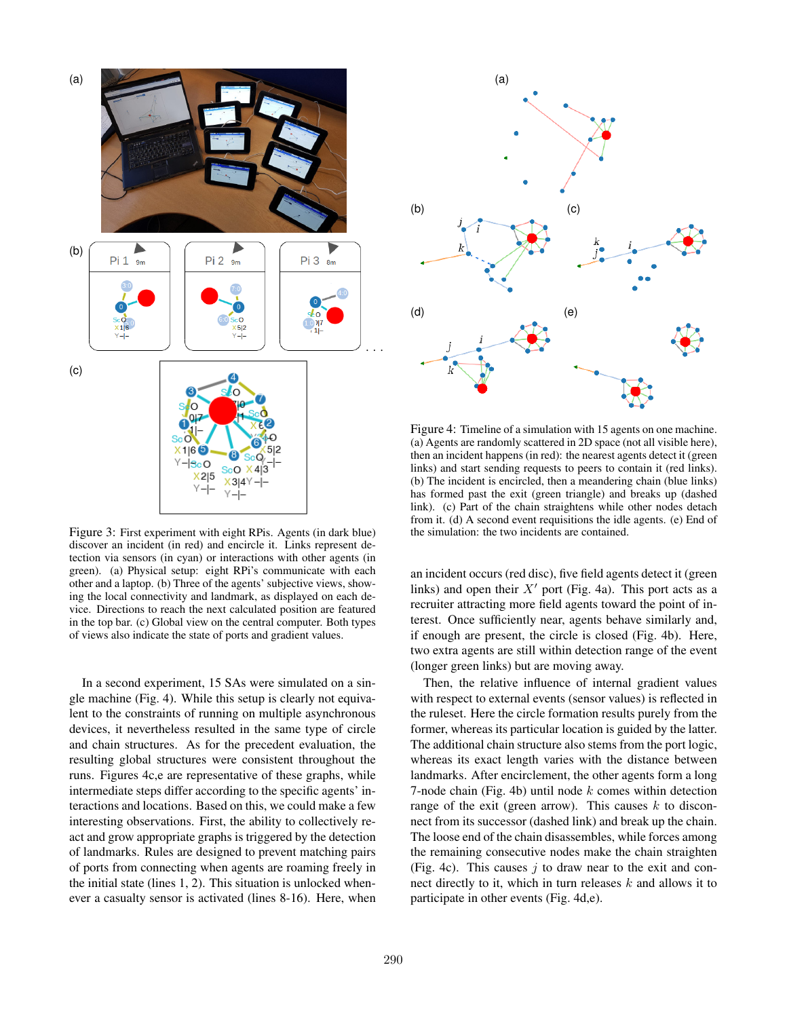

Figure 3: First experiment with eight RPis. Agents (in dark blue) discover an incident (in red) and encircle it. Links represent detection via sensors (in cyan) or interactions with other agents (in green). (a) Physical setup: eight RPi's communicate with each other and a laptop. (b) Three of the agents' subjective views, showing the local connectivity and landmark, as displayed on each device. Directions to reach the next calculated position are featured in the top bar. (c) Global view on the central computer. Both types of views also indicate the state of ports and gradient values.

In a second experiment, 15 SAs were simulated on a single machine (Fig. 4). While this setup is clearly not equivalent to the constraints of running on multiple asynchronous devices, it nevertheless resulted in the same type of circle and chain structures. As for the precedent evaluation, the resulting global structures were consistent throughout the runs. Figures 4c,e are representative of these graphs, while intermediate steps differ according to the specific agents' interactions and locations. Based on this, we could make a few interesting observations. First, the ability to collectively react and grow appropriate graphs is triggered by the detection of landmarks. Rules are designed to prevent matching pairs of ports from connecting when agents are roaming freely in the initial state (lines 1, 2). This situation is unlocked whenever a casualty sensor is activated (lines 8-16). Here, when



Figure 4: Timeline of a simulation with 15 agents on one machine. (a) Agents are randomly scattered in 2D space (not all visible here), then an incident happens (in red): the nearest agents detect it (green links) and start sending requests to peers to contain it (red links). (b) The incident is encircled, then a meandering chain (blue links) has formed past the exit (green triangle) and breaks up (dashed link). (c) Part of the chain straightens while other nodes detach from it. (d) A second event requisitions the idle agents. (e) End of the simulation: the two incidents are contained.

an incident occurs (red disc), five field agents detect it (green links) and open their  $X'$  port (Fig. 4a). This port acts as a recruiter attracting more field agents toward the point of interest. Once sufficiently near, agents behave similarly and, if enough are present, the circle is closed (Fig. 4b). Here, two extra agents are still within detection range of the event (longer green links) but are moving away.

Then, the relative influence of internal gradient values with respect to external events (sensor values) is reflected in the ruleset. Here the circle formation results purely from the former, whereas its particular location is guided by the latter. The additional chain structure also stems from the port logic, whereas its exact length varies with the distance between landmarks. After encirclement, the other agents form a long 7-node chain (Fig. 4b) until node  $k$  comes within detection range of the exit (green arrow). This causes  $k$  to disconnect from its successor (dashed link) and break up the chain. The loose end of the chain disassembles, while forces among the remaining consecutive nodes make the chain straighten (Fig. 4c). This causes  $j$  to draw near to the exit and connect directly to it, which in turn releases  $k$  and allows it to participate in other events (Fig. 4d,e).